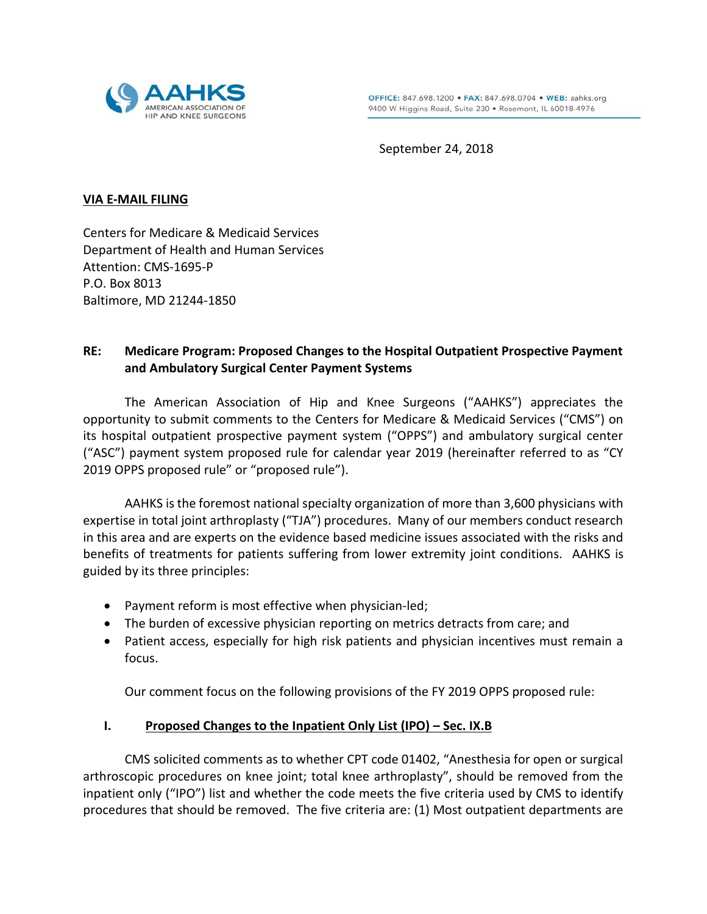

September 24, 2018

#### **VIA E-MAIL FILING**

Centers for Medicare & Medicaid Services Department of Health and Human Services Attention: CMS-1695-P P.O. Box 8013 Baltimore, MD 21244-1850

# **RE: Medicare Program: Proposed Changes to the Hospital Outpatient Prospective Payment and Ambulatory Surgical Center Payment Systems**

The American Association of Hip and Knee Surgeons ("AAHKS") appreciates the opportunity to submit comments to the Centers for Medicare & Medicaid Services ("CMS") on its hospital outpatient prospective payment system ("OPPS") and ambulatory surgical center ("ASC") payment system proposed rule for calendar year 2019 (hereinafter referred to as "CY 2019 OPPS proposed rule" or "proposed rule").

AAHKS is the foremost national specialty organization of more than 3,600 physicians with expertise in total joint arthroplasty ("TJA") procedures. Many of our members conduct research in this area and are experts on the evidence based medicine issues associated with the risks and benefits of treatments for patients suffering from lower extremity joint conditions. AAHKS is guided by its three principles:

- Payment reform is most effective when physician-led;
- The burden of excessive physician reporting on metrics detracts from care; and
- Patient access, especially for high risk patients and physician incentives must remain a focus.

Our comment focus on the following provisions of the FY 2019 OPPS proposed rule:

## **I. Proposed Changes to the Inpatient Only List (IPO) – Sec. IX.B**

CMS solicited comments as to whether CPT code 01402, "Anesthesia for open or surgical arthroscopic procedures on knee joint; total knee arthroplasty", should be removed from the inpatient only ("IPO") list and whether the code meets the five criteria used by CMS to identify procedures that should be removed. The five criteria are: (1) Most outpatient departments are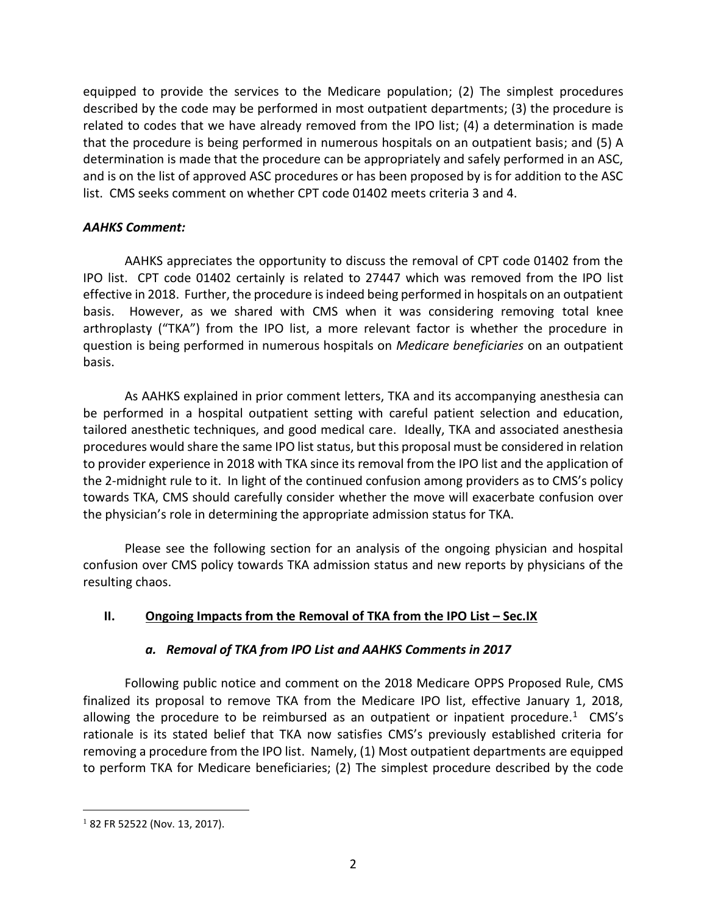equipped to provide the services to the Medicare population; (2) The simplest procedures described by the code may be performed in most outpatient departments; (3) the procedure is related to codes that we have already removed from the IPO list; (4) a determination is made that the procedure is being performed in numerous hospitals on an outpatient basis; and (5) A determination is made that the procedure can be appropriately and safely performed in an ASC, and is on the list of approved ASC procedures or has been proposed by is for addition to the ASC list. CMS seeks comment on whether CPT code 01402 meets criteria 3 and 4.

## *AAHKS Comment:*

AAHKS appreciates the opportunity to discuss the removal of CPT code 01402 from the IPO list. CPT code 01402 certainly is related to 27447 which was removed from the IPO list effective in 2018. Further, the procedure is indeed being performed in hospitals on an outpatient basis. However, as we shared with CMS when it was considering removing total knee arthroplasty ("TKA") from the IPO list, a more relevant factor is whether the procedure in question is being performed in numerous hospitals on *Medicare beneficiaries* on an outpatient basis.

As AAHKS explained in prior comment letters, TKA and its accompanying anesthesia can be performed in a hospital outpatient setting with careful patient selection and education, tailored anesthetic techniques, and good medical care. Ideally, TKA and associated anesthesia procedures would share the same IPO list status, but this proposal must be considered in relation to provider experience in 2018 with TKA since its removal from the IPO list and the application of the 2-midnight rule to it. In light of the continued confusion among providers as to CMS's policy towards TKA, CMS should carefully consider whether the move will exacerbate confusion over the physician's role in determining the appropriate admission status for TKA.

Please see the following section for an analysis of the ongoing physician and hospital confusion over CMS policy towards TKA admission status and new reports by physicians of the resulting chaos.

## **II.** Ongoing Impacts from the Removal of TKA from the IPO List – Sec.IX

## *a. Removal of TKA from IPO List and AAHKS Comments in 2017*

Following public notice and comment on the 2018 Medicare OPPS Proposed Rule, CMS finalized its proposal to remove TKA from the Medicare IPO list, effective January 1, 2018, allowing the procedure to be reimbursed as an outpatient or inpatient procedure.<sup>1</sup> CMS's rationale is its stated belief that TKA now satisfies CMS's previously established criteria for removing a procedure from the IPO list. Namely, (1) Most outpatient departments are equipped to perform TKA for Medicare beneficiaries; (2) The simplest procedure described by the code

<sup>&</sup>lt;sup>1</sup> 82 FR 52522 (Nov. 13, 2017).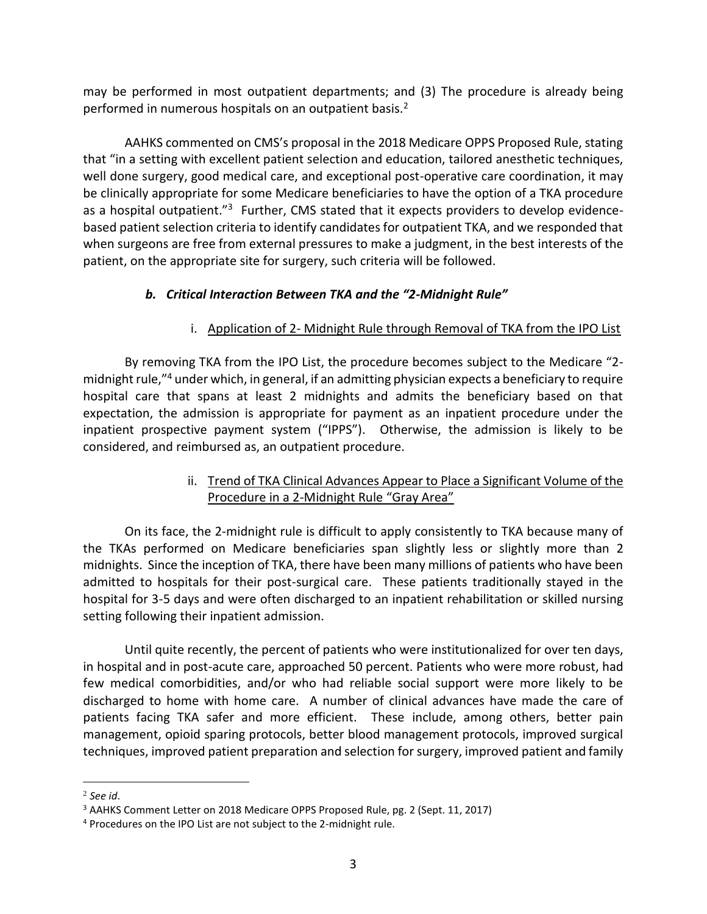may be performed in most outpatient departments; and (3) The procedure is already being performed in numerous hospitals on an outpatient basis.<sup>2</sup>

AAHKS commented on CMS's proposal in the 2018 Medicare OPPS Proposed Rule, stating that "in a setting with excellent patient selection and education, tailored anesthetic techniques, well done surgery, good medical care, and exceptional post-operative care coordination, it may be clinically appropriate for some Medicare beneficiaries to have the option of a TKA procedure as a hospital outpatient."<sup>3</sup> Further, CMS stated that it expects providers to develop evidencebased patient selection criteria to identify candidates for outpatient TKA, and we responded that when surgeons are free from external pressures to make a judgment, in the best interests of the patient, on the appropriate site for surgery, such criteria will be followed.

# *b. Critical Interaction Between TKA and the "2-Midnight Rule"*

# i. Application of 2- Midnight Rule through Removal of TKA from the IPO List

By removing TKA from the IPO List, the procedure becomes subject to the Medicare "2 midnight rule,"<sup>4</sup> under which, in general, if an admitting physician expects a beneficiary to require hospital care that spans at least 2 midnights and admits the beneficiary based on that expectation, the admission is appropriate for payment as an inpatient procedure under the inpatient prospective payment system ("IPPS"). Otherwise, the admission is likely to be considered, and reimbursed as, an outpatient procedure.

## ii. Trend of TKA Clinical Advances Appear to Place a Significant Volume of the Procedure in a 2-Midnight Rule "Gray Area"

On its face, the 2-midnight rule is difficult to apply consistently to TKA because many of the TKAs performed on Medicare beneficiaries span slightly less or slightly more than 2 midnights. Since the inception of TKA, there have been many millions of patients who have been admitted to hospitals for their post-surgical care. These patients traditionally stayed in the hospital for 3-5 days and were often discharged to an inpatient rehabilitation or skilled nursing setting following their inpatient admission.

Until quite recently, the percent of patients who were institutionalized for over ten days, in hospital and in post-acute care, approached 50 percent. Patients who were more robust, had few medical comorbidities, and/or who had reliable social support were more likely to be discharged to home with home care. A number of clinical advances have made the care of patients facing TKA safer and more efficient. These include, among others, better pain management, opioid sparing protocols, better blood management protocols, improved surgical techniques, improved patient preparation and selection for surgery, improved patient and family

<sup>2</sup> *See id*.

<sup>3</sup> AAHKS Comment Letter on 2018 Medicare OPPS Proposed Rule, pg. 2 (Sept. 11, 2017)

<sup>4</sup> Procedures on the IPO List are not subject to the 2-midnight rule.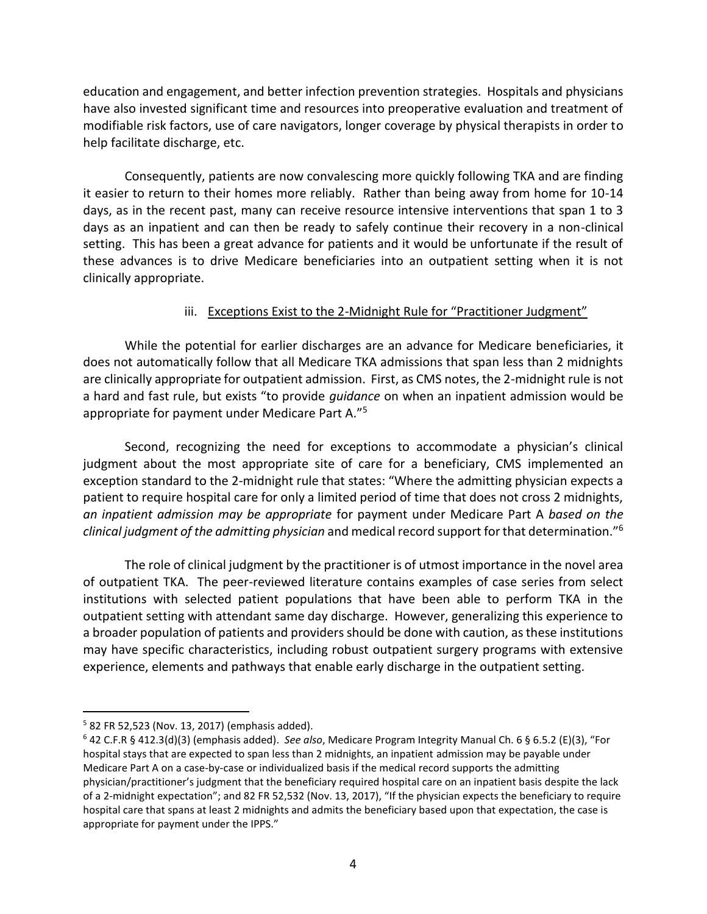education and engagement, and better infection prevention strategies. Hospitals and physicians have also invested significant time and resources into preoperative evaluation and treatment of modifiable risk factors, use of care navigators, longer coverage by physical therapists in order to help facilitate discharge, etc.

Consequently, patients are now convalescing more quickly following TKA and are finding it easier to return to their homes more reliably. Rather than being away from home for 10-14 days, as in the recent past, many can receive resource intensive interventions that span 1 to 3 days as an inpatient and can then be ready to safely continue their recovery in a non-clinical setting. This has been a great advance for patients and it would be unfortunate if the result of these advances is to drive Medicare beneficiaries into an outpatient setting when it is not clinically appropriate.

### iii. Exceptions Exist to the 2-Midnight Rule for "Practitioner Judgment"

While the potential for earlier discharges are an advance for Medicare beneficiaries, it does not automatically follow that all Medicare TKA admissions that span less than 2 midnights are clinically appropriate for outpatient admission. First, as CMS notes, the 2-midnight rule is not a hard and fast rule, but exists "to provide *guidance* on when an inpatient admission would be appropriate for payment under Medicare Part A."<sup>5</sup>

Second, recognizing the need for exceptions to accommodate a physician's clinical judgment about the most appropriate site of care for a beneficiary, CMS implemented an exception standard to the 2-midnight rule that states: "Where the admitting physician expects a patient to require hospital care for only a limited period of time that does not cross 2 midnights, *an inpatient admission may be appropriate* for payment under Medicare Part A *based on the clinical judgment of the admitting physician* and medical record support for that determination."<sup>6</sup>

The role of clinical judgment by the practitioner is of utmost importance in the novel area of outpatient TKA. The peer-reviewed literature contains examples of case series from select institutions with selected patient populations that have been able to perform TKA in the outpatient setting with attendant same day discharge. However, generalizing this experience to a broader population of patients and providers should be done with caution, as these institutions may have specific characteristics, including robust outpatient surgery programs with extensive experience, elements and pathways that enable early discharge in the outpatient setting.

<sup>5</sup> 82 FR 52,523 (Nov. 13, 2017) (emphasis added).

<sup>6</sup> 42 C.F.R § 412.3(d)(3) (emphasis added). *See also*, Medicare Program Integrity Manual Ch. 6 § 6.5.2 (E)(3), "For hospital stays that are expected to span less than 2 midnights, an inpatient admission may be payable under Medicare Part A on a case-by-case or individualized basis if the medical record supports the admitting physician/practitioner's judgment that the beneficiary required hospital care on an inpatient basis despite the lack of a 2-midnight expectation"; and 82 FR 52,532 (Nov. 13, 2017), "If the physician expects the beneficiary to require hospital care that spans at least 2 midnights and admits the beneficiary based upon that expectation, the case is appropriate for payment under the IPPS."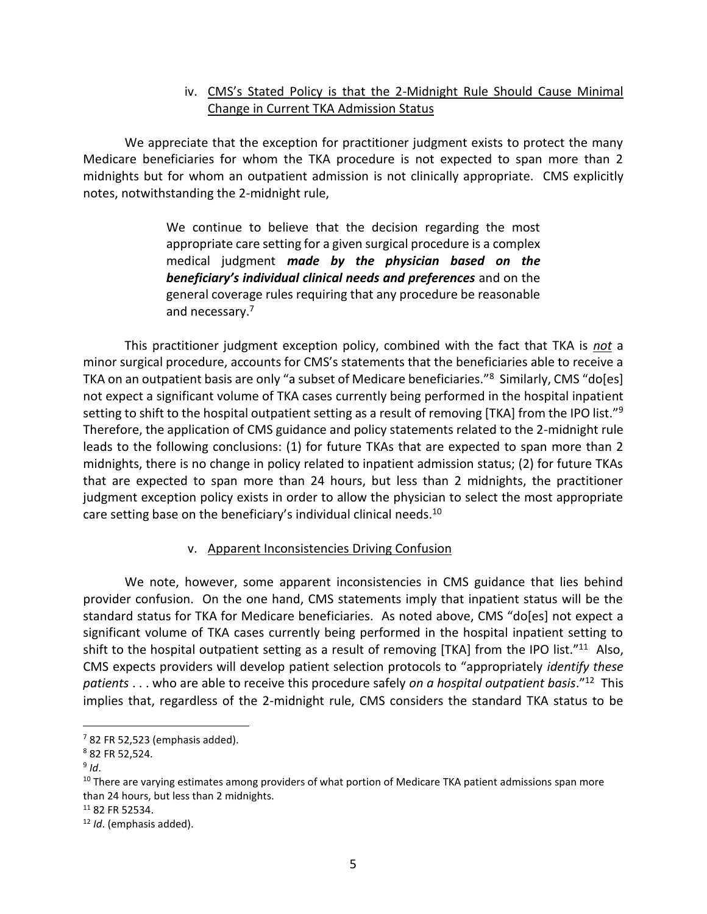## iv. CMS's Stated Policy is that the 2-Midnight Rule Should Cause Minimal Change in Current TKA Admission Status

We appreciate that the exception for practitioner judgment exists to protect the many Medicare beneficiaries for whom the TKA procedure is not expected to span more than 2 midnights but for whom an outpatient admission is not clinically appropriate. CMS explicitly notes, notwithstanding the 2-midnight rule,

> We continue to believe that the decision regarding the most appropriate care setting for a given surgical procedure is a complex medical judgment *made by the physician based on the beneficiary's individual clinical needs and preferences* and on the general coverage rules requiring that any procedure be reasonable and necessary.<sup>7</sup>

This practitioner judgment exception policy, combined with the fact that TKA is *not* a minor surgical procedure, accounts for CMS's statements that the beneficiaries able to receive a TKA on an outpatient basis are only "a subset of Medicare beneficiaries."<sup>8</sup> Similarly, CMS "do[es] not expect a significant volume of TKA cases currently being performed in the hospital inpatient setting to shift to the hospital outpatient setting as a result of removing [TKA] from the IPO list."<sup>9</sup> Therefore, the application of CMS guidance and policy statements related to the 2-midnight rule leads to the following conclusions: (1) for future TKAs that are expected to span more than 2 midnights, there is no change in policy related to inpatient admission status; (2) for future TKAs that are expected to span more than 24 hours, but less than 2 midnights, the practitioner judgment exception policy exists in order to allow the physician to select the most appropriate care setting base on the beneficiary's individual clinical needs.<sup>10</sup>

#### v. Apparent Inconsistencies Driving Confusion

We note, however, some apparent inconsistencies in CMS guidance that lies behind provider confusion. On the one hand, CMS statements imply that inpatient status will be the standard status for TKA for Medicare beneficiaries. As noted above, CMS "do[es] not expect a significant volume of TKA cases currently being performed in the hospital inpatient setting to shift to the hospital outpatient setting as a result of removing [TKA] from the IPO list."<sup>11</sup> Also, CMS expects providers will develop patient selection protocols to "appropriately *identify these patients* . . . who are able to receive this procedure safely *on a hospital outpatient basis*."<sup>12</sup> This implies that, regardless of the 2-midnight rule, CMS considers the standard TKA status to be

 $7$  82 FR 52,523 (emphasis added).

<sup>8</sup> 82 FR 52,524.

<sup>9</sup> *Id*.

<sup>&</sup>lt;sup>10</sup> There are varying estimates among providers of what portion of Medicare TKA patient admissions span more than 24 hours, but less than 2 midnights.

 $11$  82 FR 52534.

<sup>12</sup> *Id*. (emphasis added).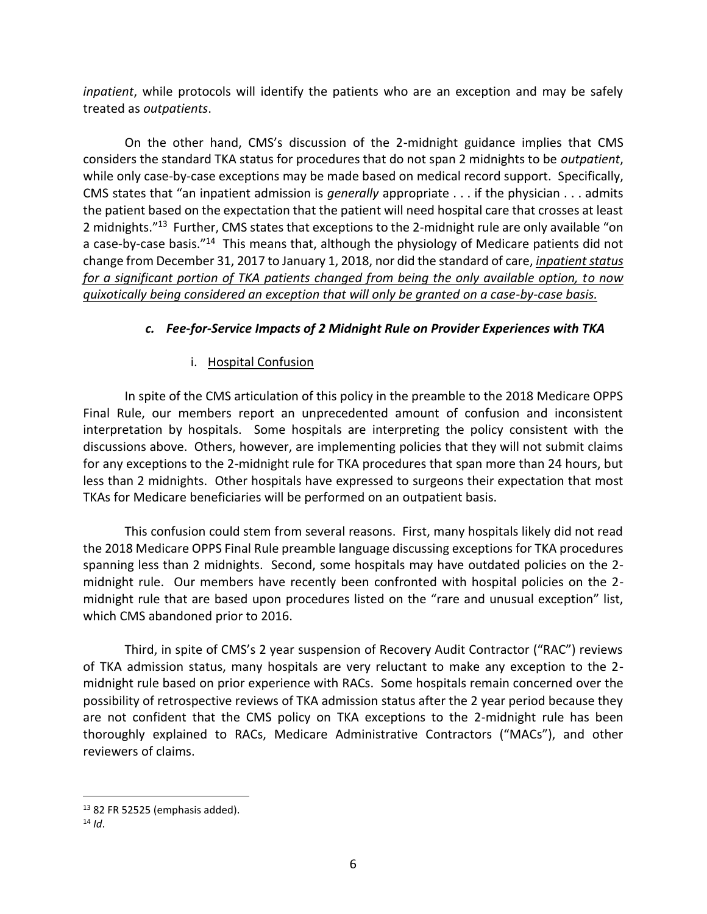*inpatient*, while protocols will identify the patients who are an exception and may be safely treated as *outpatients*.

On the other hand, CMS's discussion of the 2-midnight guidance implies that CMS considers the standard TKA status for procedures that do not span 2 midnights to be *outpatient*, while only case-by-case exceptions may be made based on medical record support. Specifically, CMS states that "an inpatient admission is *generally* appropriate . . . if the physician . . . admits the patient based on the expectation that the patient will need hospital care that crosses at least 2 midnights."<sup>13</sup> Further, CMS states that exceptions to the 2-midnight rule are only available "on a case-by-case basis."<sup>14</sup> This means that, although the physiology of Medicare patients did not change from December 31, 2017 to January 1, 2018, nor did the standard of care, *inpatient status for a significant portion of TKA patients changed from being the only available option, to now quixotically being considered an exception that will only be granted on a case-by-case basis.*

# *c. Fee-for-Service Impacts of 2 Midnight Rule on Provider Experiences with TKA*

## i. Hospital Confusion

In spite of the CMS articulation of this policy in the preamble to the 2018 Medicare OPPS Final Rule, our members report an unprecedented amount of confusion and inconsistent interpretation by hospitals. Some hospitals are interpreting the policy consistent with the discussions above. Others, however, are implementing policies that they will not submit claims for any exceptions to the 2-midnight rule for TKA procedures that span more than 24 hours, but less than 2 midnights. Other hospitals have expressed to surgeons their expectation that most TKAs for Medicare beneficiaries will be performed on an outpatient basis.

This confusion could stem from several reasons. First, many hospitals likely did not read the 2018 Medicare OPPS Final Rule preamble language discussing exceptions for TKA procedures spanning less than 2 midnights. Second, some hospitals may have outdated policies on the 2 midnight rule. Our members have recently been confronted with hospital policies on the 2 midnight rule that are based upon procedures listed on the "rare and unusual exception" list, which CMS abandoned prior to 2016.

Third, in spite of CMS's 2 year suspension of Recovery Audit Contractor ("RAC") reviews of TKA admission status, many hospitals are very reluctant to make any exception to the 2 midnight rule based on prior experience with RACs. Some hospitals remain concerned over the possibility of retrospective reviews of TKA admission status after the 2 year period because they are not confident that the CMS policy on TKA exceptions to the 2-midnight rule has been thoroughly explained to RACs, Medicare Administrative Contractors ("MACs"), and other reviewers of claims.

 $13$  82 FR 52525 (emphasis added).

 $14$  *Id.*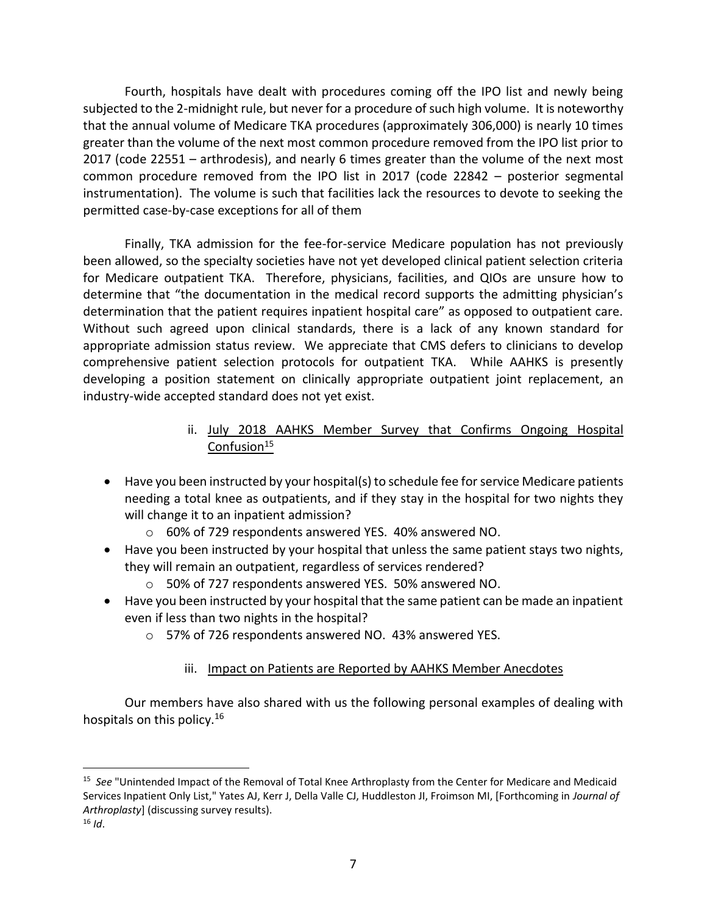Fourth, hospitals have dealt with procedures coming off the IPO list and newly being subjected to the 2-midnight rule, but never for a procedure of such high volume. It is noteworthy that the annual volume of Medicare TKA procedures (approximately 306,000) is nearly 10 times greater than the volume of the next most common procedure removed from the IPO list prior to 2017 (code 22551 – arthrodesis), and nearly 6 times greater than the volume of the next most common procedure removed from the IPO list in 2017 (code 22842 – posterior segmental instrumentation). The volume is such that facilities lack the resources to devote to seeking the permitted case-by-case exceptions for all of them

Finally, TKA admission for the fee-for-service Medicare population has not previously been allowed, so the specialty societies have not yet developed clinical patient selection criteria for Medicare outpatient TKA. Therefore, physicians, facilities, and QIOs are unsure how to determine that "the documentation in the medical record supports the admitting physician's determination that the patient requires inpatient hospital care" as opposed to outpatient care. Without such agreed upon clinical standards, there is a lack of any known standard for appropriate admission status review. We appreciate that CMS defers to clinicians to develop comprehensive patient selection protocols for outpatient TKA. While AAHKS is presently developing a position statement on clinically appropriate outpatient joint replacement, an industry-wide accepted standard does not yet exist.

## ii. July 2018 AAHKS Member Survey that Confirms Ongoing Hospital Confusion $15$

- Have you been instructed by your hospital(s) to schedule fee for service Medicare patients needing a total knee as outpatients, and if they stay in the hospital for two nights they will change it to an inpatient admission?
	- o 60% of 729 respondents answered YES. 40% answered NO.
- Have you been instructed by your hospital that unless the same patient stays two nights, they will remain an outpatient, regardless of services rendered?
	- o 50% of 727 respondents answered YES. 50% answered NO.
- Have you been instructed by your hospital that the same patient can be made an inpatient even if less than two nights in the hospital?
	- o 57% of 726 respondents answered NO. 43% answered YES.

# iii. Impact on Patients are Reported by AAHKS Member Anecdotes

Our members have also shared with us the following personal examples of dealing with hospitals on this policy.<sup>16</sup>

<sup>15</sup> *See* "Unintended Impact of the Removal of Total Knee Arthroplasty from the Center for Medicare and Medicaid Services Inpatient Only List," Yates AJ, Kerr J, Della Valle CJ, Huddleston JI, Froimson MI, [Forthcoming in *Journal of Arthroplasty*] (discussing survey results).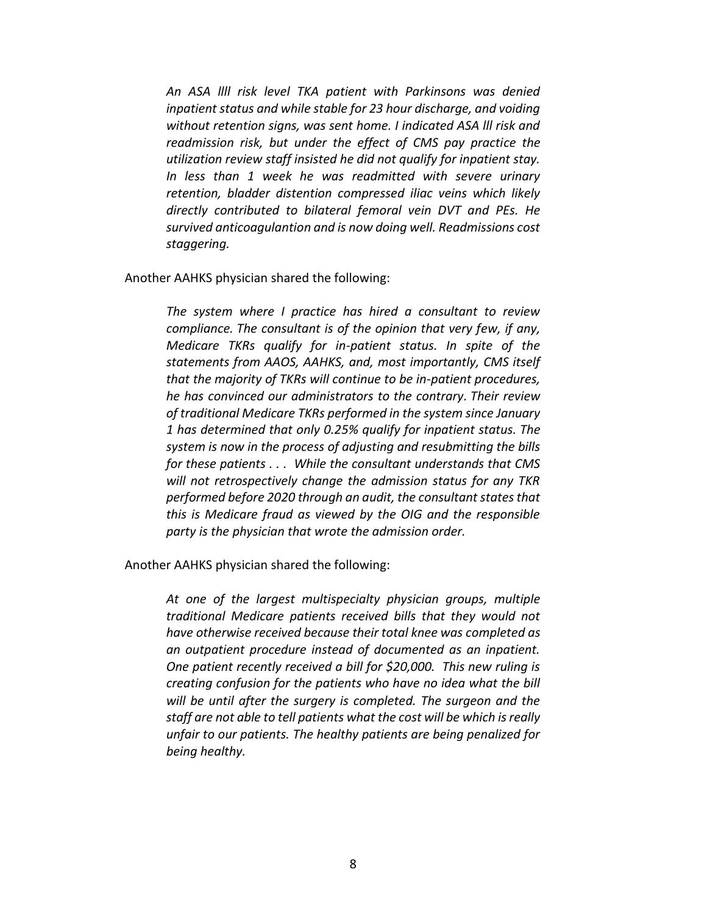*An ASA llll risk level TKA patient with Parkinsons was denied inpatient status and while stable for 23 hour discharge, and voiding without retention signs, was sent home. I indicated ASA lll risk and readmission risk, but under the effect of CMS pay practice the utilization review staff insisted he did not qualify for inpatient stay. In less than 1 week he was readmitted with severe urinary retention, bladder distention compressed iliac veins which likely directly contributed to bilateral femoral vein DVT and PEs. He survived anticoagulantion and is now doing well. Readmissions cost staggering.*

Another AAHKS physician shared the following:

*The system where I practice has hired a consultant to review compliance. The consultant is of the opinion that very few, if any, Medicare TKRs qualify for in-patient status. In spite of the statements from AAOS, AAHKS, and, most importantly, CMS itself that the majority of TKRs will continue to be in-patient procedures, he has convinced our administrators to the contrary. Their review of traditional Medicare TKRs performed in the system since January 1 has determined that only 0.25% qualify for inpatient status. The system is now in the process of adjusting and resubmitting the bills for these patients . . . While the consultant understands that CMS will not retrospectively change the admission status for any TKR performed before 2020 through an audit, the consultant states that this is Medicare fraud as viewed by the OIG and the responsible party is the physician that wrote the admission order.*

Another AAHKS physician shared the following:

*At one of the largest multispecialty physician groups, multiple traditional Medicare patients received bills that they would not have otherwise received because their total knee was completed as an outpatient procedure instead of documented as an inpatient. One patient recently received a bill for \$20,000. This new ruling is creating confusion for the patients who have no idea what the bill will be until after the surgery is completed. The surgeon and the staff are not able to tell patients what the cost will be which is really unfair to our patients. The healthy patients are being penalized for being healthy.*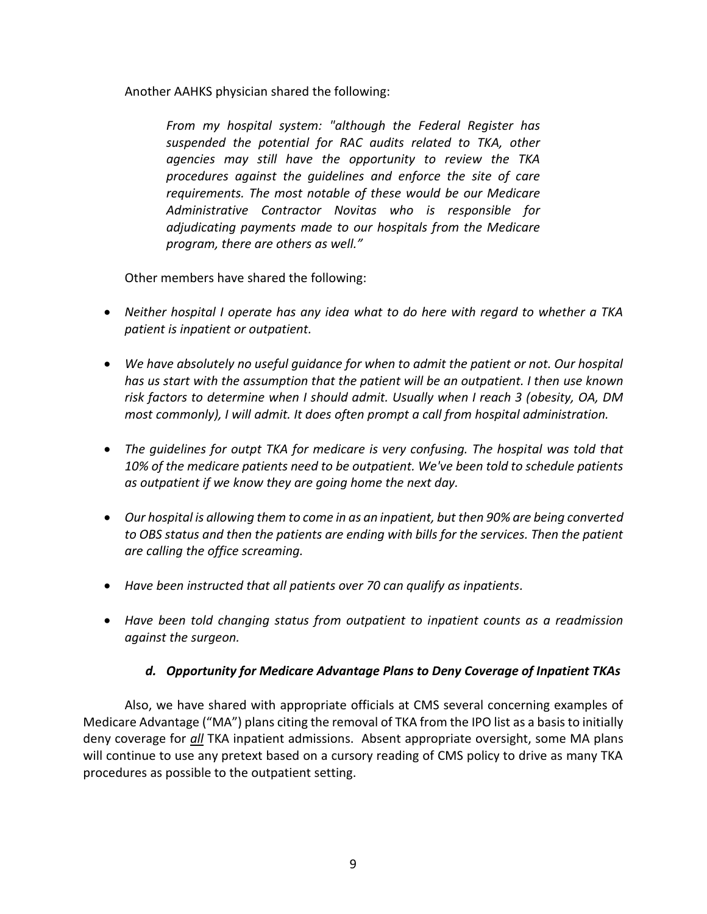Another AAHKS physician shared the following:

*From my hospital system: "although the Federal Register has suspended the potential for RAC audits related to TKA, other agencies may still have the opportunity to review the TKA procedures against the guidelines and enforce the site of care requirements. The most notable of these would be our Medicare Administrative Contractor Novitas who is responsible for adjudicating payments made to our hospitals from the Medicare program, there are others as well."* 

Other members have shared the following:

- *Neither hospital I operate has any idea what to do here with regard to whether a TKA patient is inpatient or outpatient.*
- *We have absolutely no useful guidance for when to admit the patient or not. Our hospital has us start with the assumption that the patient will be an outpatient. I then use known risk factors to determine when I should admit. Usually when I reach 3 (obesity, OA, DM most commonly), I will admit. It does often prompt a call from hospital administration.*
- *The guidelines for outpt TKA for medicare is very confusing. The hospital was told that 10% of the medicare patients need to be outpatient. We've been told to schedule patients as outpatient if we know they are going home the next day.*
- *Our hospital is allowing them to come in as an inpatient, but then 90% are being converted to OBS status and then the patients are ending with bills for the services. Then the patient are calling the office screaming.*
- *Have been instructed that all patients over 70 can qualify as inpatients.*
- *Have been told changing status from outpatient to inpatient counts as a readmission against the surgeon.*

## *d. Opportunity for Medicare Advantage Plans to Deny Coverage of Inpatient TKAs*

Also, we have shared with appropriate officials at CMS several concerning examples of Medicare Advantage ("MA") plans citing the removal of TKA from the IPO list as a basis to initially deny coverage for *all* TKA inpatient admissions. Absent appropriate oversight, some MA plans will continue to use any pretext based on a cursory reading of CMS policy to drive as many TKA procedures as possible to the outpatient setting.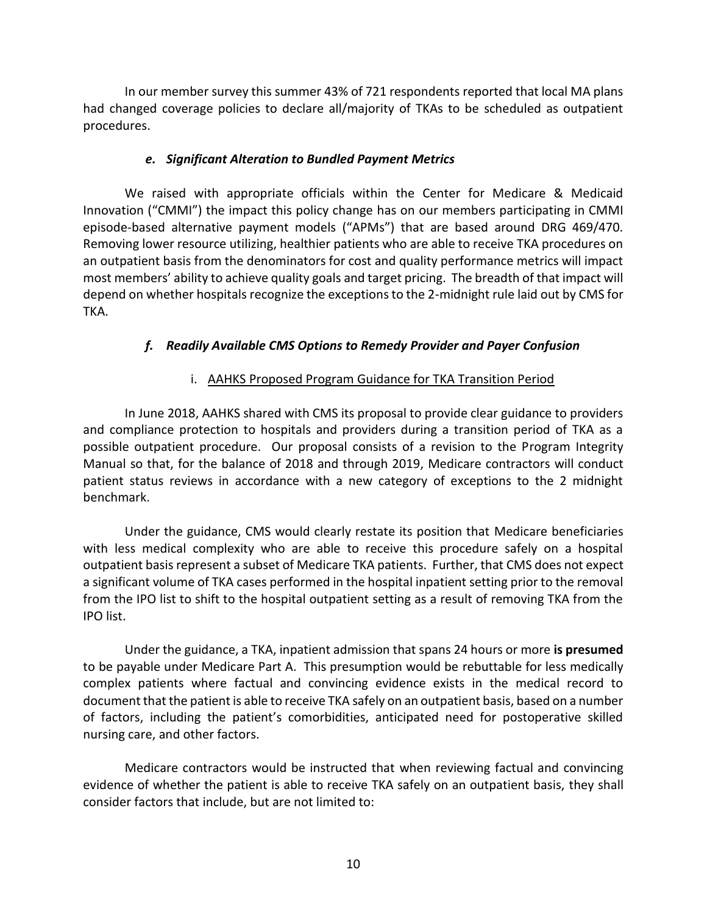In our member survey this summer 43% of 721 respondents reported that local MA plans had changed coverage policies to declare all/majority of TKAs to be scheduled as outpatient procedures.

### *e. Significant Alteration to Bundled Payment Metrics*

We raised with appropriate officials within the Center for Medicare & Medicaid Innovation ("CMMI") the impact this policy change has on our members participating in CMMI episode-based alternative payment models ("APMs") that are based around DRG 469/470. Removing lower resource utilizing, healthier patients who are able to receive TKA procedures on an outpatient basis from the denominators for cost and quality performance metrics will impact most members' ability to achieve quality goals and target pricing. The breadth of that impact will depend on whether hospitals recognize the exceptions to the 2-midnight rule laid out by CMS for TKA.

### *f. Readily Available CMS Options to Remedy Provider and Payer Confusion*

### i. AAHKS Proposed Program Guidance for TKA Transition Period

In June 2018, AAHKS shared with CMS its proposal to provide clear guidance to providers and compliance protection to hospitals and providers during a transition period of TKA as a possible outpatient procedure. Our proposal consists of a revision to the Program Integrity Manual so that, for the balance of 2018 and through 2019, Medicare contractors will conduct patient status reviews in accordance with a new category of exceptions to the 2 midnight benchmark.

Under the guidance, CMS would clearly restate its position that Medicare beneficiaries with less medical complexity who are able to receive this procedure safely on a hospital outpatient basis represent a subset of Medicare TKA patients. Further, that CMS does not expect a significant volume of TKA cases performed in the hospital inpatient setting prior to the removal from the IPO list to shift to the hospital outpatient setting as a result of removing TKA from the IPO list.

Under the guidance, a TKA, inpatient admission that spans 24 hours or more **is presumed** to be payable under Medicare Part A. This presumption would be rebuttable for less medically complex patients where factual and convincing evidence exists in the medical record to document that the patient is able to receive TKA safely on an outpatient basis, based on a number of factors, including the patient's comorbidities, anticipated need for postoperative skilled nursing care, and other factors.

Medicare contractors would be instructed that when reviewing factual and convincing evidence of whether the patient is able to receive TKA safely on an outpatient basis, they shall consider factors that include, but are not limited to: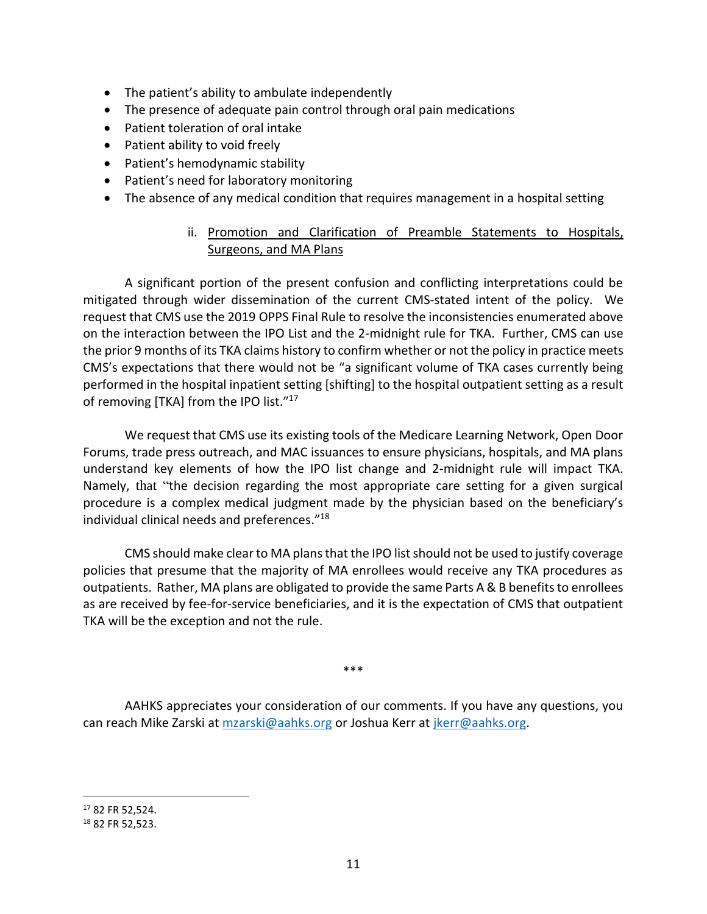- The patient's ability to ambulate independently
- The presence of adequate pain control through oral pain medications
- Patient toleration of oral intake
- Patient ability to void freely
- Patient's hemodynamic stability
- Patient's need for laboratory monitoring
- The absence of any medical condition that requires management in a hospital setting

# ii. Promotion and Clarification of Preamble Statements to Hospitals, Surgeons, and MA Plans

A significant portion of the present confusion and conflicting interpretations could be mitigated through wider dissemination of the current CMS-stated intent of the policy. We request that CMS use the 2019 OPPS Final Rule to resolve the inconsistencies enumerated above on the interaction between the IPO List and the 2-midnight rule for TKA. Further, CMS can use the prior 9 months of its TKA claims history to confirm whether or not the policy in practice meets CMS's expectations that there would not be "a significant volume of TKA cases currently being performed in the hospital inpatient setting [shifting] to the hospital outpatient setting as a result of removing [TKA] from the IPO list."<sup>17</sup>

We request that CMS use its existing tools of the Medicare Learning Network, Open Door Forums, trade press outreach, and MAC issuances to ensure physicians, hospitals, and MA plans understand key elements of how the IPO list change and 2-midnight rule will impact TKA. Namely, that "the decision regarding the most appropriate care setting for a given surgical procedure is a complex medical judgment made by the physician based on the beneficiary's individual clinical needs and preferences." 18

CMS should make clear to MA plans that the IPO list should not be used to justify coverage policies that presume that the majority of MA enrollees would receive any TKA procedures as outpatients. Rather, MA plans are obligated to provide the same Parts A & B benefits to enrollees as are received by fee-for-service beneficiaries, and it is the expectation of CMS that outpatient TKA will be the exception and not the rule.

\*\*\*

AAHKS appreciates your consideration of our comments. If you have any questions, you can reach Mike Zarski at [mzarski@aahks.org](mailto:mzarski@aahks.org) or Joshua Kerr at [jkerr@aahks.org.](mailto:jkerr@aahks.org)

<sup>17</sup> 82 FR 52,524.

<sup>18</sup> 82 FR 52,523.